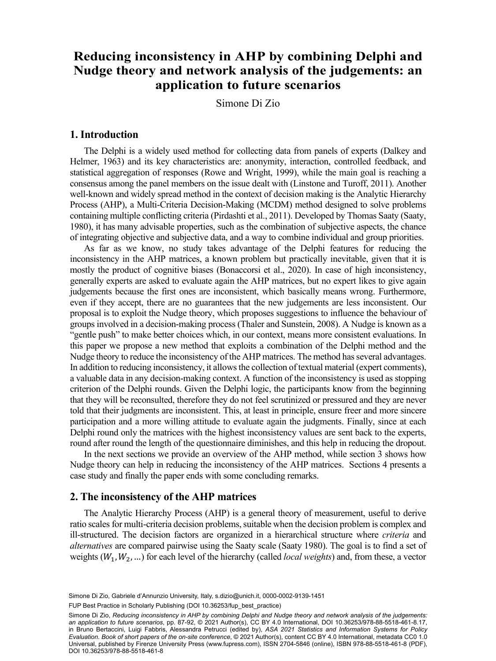# Reducing inconsistency in AHP by combining Delphi and n to future Department of Legal and Social Sciences, University "G. d'Annunzio", Chieti-Pescara, **application to future scenarios Nudge theory and network analysis of the judgements: an**

Simone Di Zio

#### **1. Introduction**

The Delphi is a widely used method for collecting data from panels of experts (Dalkey and Helmer, 1963) and its key characteristics are: anonymity, interaction, controlled feedback, and statistical aggregation of responses (Rowe and Wright, 1999), while the main goal is reaching a consensus among the panel members on the issue dealt with (Linstone and Turoff, 2011). Another well-known and widely spread method in the context of decision making is the Analytic Hierarchy Process (AHP), a Multi-Criteria Decision-Making (MCDM) method designed to solve problems containing multiple conflicting criteria (Pirdashti et al., 2011). Developed by Thomas Saaty (Saaty, 1980), it has many advisable properties, such as the combination of subjective aspects, the chance of integrating objective and subjective data, and a way to combine individual and group priorities.

As far as we know, no study takes advantage of the Delphi features for reducing the inconsistency in the AHP matrices, a known problem but practically inevitable, given that it is mostly the product of cognitive biases (Bonaccorsi et al., 2020). In case of high inconsistency, generally experts are asked to evaluate again the AHP matrices, but no expert likes to give again judgements because the first ones are inconsistent, which basically means wrong. Furthermore, even if they accept, there are no guarantees that the new judgements are less inconsistent. Our proposal is to exploit the Nudge theory, which proposes suggestions to influence the behaviour of groups involved in a decision-making process (Thaler and Sunstein, 2008). A Nudge is known as a "gentle push" to make better choices which, in our context, means more consistent evaluations. In this paper we propose a new method that exploits a combination of the Delphi method and the Nudge theory to reduce the inconsistency of the AHP matrices. The method has several advantages. In addition to reducing inconsistency, it allows the collection of textual material (expert comments), a valuable data in any decision-making context. A function of the inconsistency is used as stopping criterion of the Delphi rounds. Given the Delphi logic, the participants know from the beginning that they will be reconsulted, therefore they do not feel scrutinized or pressured and they are never told that their judgments are inconsistent. This, at least in principle, ensure freer and more sincere participation and a more willing attitude to evaluate again the judgments. Finally, since at each Delphi round only the matrices with the highest inconsistency values are sent back to the experts, round after round the length of the questionnaire diminishes, and this help in reducing the dropout.

In the next sections we provide an overview of the AHP method, while section 3 shows how Nudge theory can help in reducing the inconsistency of the AHP matrices. Sections 4 presents a case study and finally the paper ends with some concluding remarks.

## **2. The inconsistency of the AHP matrices**

The Analytic Hierarchy Process (AHP) is a general theory of measurement, useful to derive ratio scales for multi-criteria decision problems, suitable when the decision problem is complex and ill-structured. The decision factors are organized in a hierarchical structure where *criteria* and *alternatives* are compared pairwise using the Saaty scale (Saaty 1980). The goal is to find a set of weights ( $W_1, W_2, ...$ ) for each level of the hierarchy (called *local weights*) and, from these, a vector

FUP Best Practice in Scholarly Publishing (DOI [10.36253/fup\\_best\\_practice](https://doi.org/10.36253/fup_best_practice))

Simone Di Zio, *Reducing inconsistency in AHP by combining Delphi and Nudge theory and network analysis of the judgements: an application to future scenarios*, pp. 87-92, © 2021 Author(s), [CC BY 4.0 International](http://creativecommons.org/licenses/by/4.0/legalcode), DOI [10.36253/978-88-5518-461-8.17](https://doi.org/10.36253/978-88-5518-461-8.17), in Bruno Bertaccini, Luigi Fabbris, Alessandra Petrucci (edited by), *ASA 2021 Statistics and Information Systems for Policy Evaluation. Book of short papers of the on-site conference*, © 2021 Author(s), content [CC BY 4.0 International,](http://creativecommons.org/licenses/by/4.0/legalcode) metadata [CC0 1.0](https://creativecommons.org/publicdomain/zero/1.0/legalcode) [Universal,](https://creativecommons.org/publicdomain/zero/1.0/legalcode) published by Firenze University Press [\(www.fupress.com](http://www.fupress.com)), ISSN 2704-5846 (online), ISBN 978-88-5518-461-8 (PDF), DOI [10.36253/978-88-5518-461-8](https://doi.org/10.36253/978-88-5518-461-8)

Simone Di Zio, Gabriele d'Annunzio University, Italy, [s.dizio@unich.it,](mailto:s.dizio@unich.it) [0000-0002-9139-1451](https://orcid.org/0000-0002-9139-1451)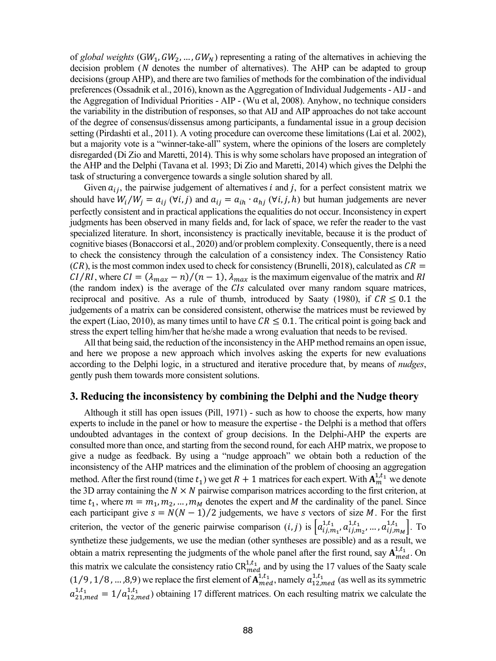of *global weights* (GW<sub>1</sub>, GW<sub>2</sub>, ..., GW<sub>N</sub>) representing a rating of the alternatives in achieving the decision problem  $(N$  denotes the number of alternatives). The AHP can be adapted to group decisions (group AHP), and there are two families of methods for the combination of the individual preferences (Ossadnik et al., 2016), known as the Aggregation of Individual Judgements - AIJ - and the Aggregation of Individual Priorities - AIP - (Wu et al, 2008). Anyhow, no technique considers the variability in the distribution of responses, so that AIJ and AIP approaches do not take account of the degree of consensus/dissensus among participants, a fundamental issue in a group decision setting (Pirdashti et al., 2011). A voting procedure can overcome these limitations (Lai et al. 2002), but a majority vote is a "winner-take-all" system, where the opinions of the losers are completely disregarded (Di Zio and Maretti, 2014). This is why some scholars have proposed an integration of the AHP and the Delphi (Tavana et al. 1993; Di Zio and Maretti, 2014) which gives the Delphi the task of structuring a convergence towards a single solution shared by all.

Given  $a_{ij}$ , the pairwise judgement of alternatives *i* and *j*, for a perfect consistent matrix we should have  $W_i/W_j = a_{ij}$  ( $\forall i, j$ ) and  $a_{ij} = a_{ih} \cdot a_{hj}$  ( $\forall i, j, h$ ) but human judgements are never perfectly consistent and in practical applications the equalities do not occur. Inconsistency in expert judgments has been observed in many fields and, for lack of space, we refer the reader to the vast specialized literature. In short, inconsistency is practically inevitable, because it is the product of cognitive biases (Bonaccorsi et al., 2020) and/or problem complexity. Consequently, there is a need to check the consistency through the calculation of a consistency index. The Consistency Ratio  $(CR)$ , is the most common index used to check for consistency (Brunelli, 2018), calculated as  $CR =$  $CI/RI$ , where  $CI = (\lambda_{max} - n)/(n - 1)$ ,  $\lambda_{max}$  is the maximum eigenvalue of the matrix and RI (the random index) is the average of the  $CIs$  calculated over many random square matrices, reciprocal and positive. As a rule of thumb, introduced by Saaty (1980), if  $CR \le 0.1$  the judgements of a matrix can be considered consistent, otherwise the matrices must be reviewed by the expert (Liao, 2010), as many times until to have  $CR \le 0.1$ . The critical point is going back and stress the expert telling him/her that he/she made a wrong evaluation that needs to be revised.

All that being said, the reduction of the inconsistency in the AHP method remains an open issue, and here we propose a new approach which involves asking the experts for new evaluations according to the Delphi logic, in a structured and iterative procedure that, by means of *nudges*, gently push them towards more consistent solutions.

#### **3. Reducing the inconsistency by combining the Delphi and the Nudge theory**

Although it still has open issues (Pill, 1971) - such as how to choose the experts, how many experts to include in the panel or how to measure the expertise - the Delphi is a method that offers undoubted advantages in the context of group decisions. In the Delphi-AHP the experts are consulted more than once, and starting from the second round, for each AHP matrix, we propose to give a nudge as feedback. By using a "nudge approach" we obtain both a reduction of the inconsistency of the AHP matrices and the elimination of the problem of choosing an aggregation method. After the first round (time  $t_1$ ) we get  $R + 1$  matrices for each expert. With  $A_m^{1,t_1}$  we denote the 3D array containing the  $N \times N$  pairwise comparison matrices according to the first criterion, at time  $t_1$ , where  $m = m_1, m_2, \dots, m_M$  denotes the expert and M the cardinality of the panel. Since each participant give  $s = N(N - 1)/2$  judgements, we have s vectors of size M. For the first criterion, the vector of the generic pairwise comparison  $(i, j)$  is  $\left[a_{ij,m_1}^{1,t_1}, a_{ij,m_2}^{1,t_1}, \ldots, a_{ij,m_M}^{1,t_1}\right]$ . To synthetize these judgements, we use the median (other syntheses are possible) and as a result, we obtain a matrix representing the judgments of the whole panel after the first round, say  $A_{med}^{1,t_1}$ . On this matrix we calculate the consistency ratio  $CR_{med}^{1,t_1}$  and by using the 17 values of the Saaty scale  $(1/9, 1/8, ..., 8, 9)$  we replace the first element of  $A_{med}^{1,t_1}$ , namely  $a_{12,med}^{1,t_1}$  (as well as its symmetric  $a_{21,med}^{1,t_1} = 1/a_{12,med}^{1,t_1}$ ) obtaining 17 different matrices. On each resulting matrix we calculate the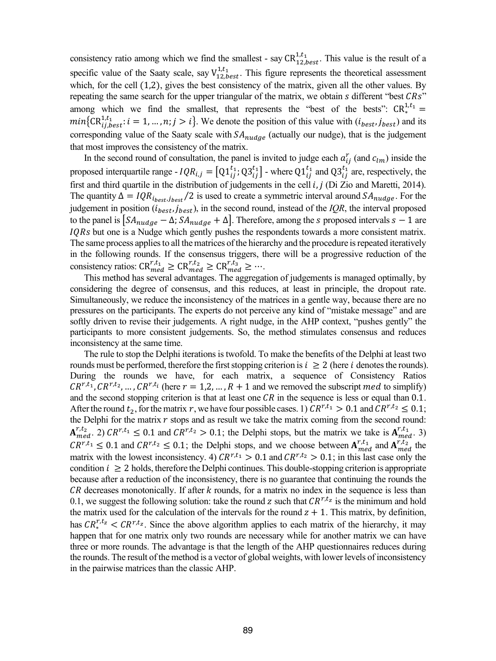consistency ratio among which we find the smallest - say  $CR_{12,best}^{1,t_1}$ . This value is the result of a specific value of the Saaty scale, say  $V_{12, best}^{1, t_1}$ . This figure represents the theoretical assessment which, for the cell  $(1,2)$ , gives the best consistency of the matrix, given all the other values. By repeating the same search for the upper triangular of the matrix, we obtain  $s$  different "best  $CRs$ " among which we find the smallest, that represents the "best of the bests":  $CR_*^{1,t_1} =$  $min\{CR_{ij,best}^{1,t} : i = 1, ..., n; j > i\}$ . We denote the position of this value with  $(i_{best}, j_{best})$  and its corresponding value of the Saaty scale with  $SA_{nudae}$  (actually our nudge), that is the judgement that most improves the consistency of the matrix.

In the second round of consultation, the panel is invited to judge each  $a_{ij}^r$  (and  $c_{lm}$ ) inside the proposed interquartile range -  $IQR_{i,j} = [Q1_{ij}^{11}; Q3_{ij}^{11}]$  - where  $Q1_{ij}^{11}$  and  $Q3_{ij}^{11}$  are, respectively, the first and third quartile in the distribution of judgements in the cell  $i, j$  (Di Zio and Maretti, 2014). The quantity  $\Delta = IQR_{i_{best},j_{best}}/2$  is used to create a symmetric interval around  $SA_{nudge}$ . For the judgement in position  $(i_{best}, j_{best})$ , in the second round, instead of the *IQR*, the interval proposed to the panel is  $\left[SA_{nudge} - \Delta; SA_{nudge} + \Delta\right]$ . Therefore, among the *s* proposed intervals  $s - 1$  are  $IQRs$  but one is a Nudge which gently pushes the respondents towards a more consistent matrix. The same process applies to all the matrices of the hierarchy and the procedure is repeated iteratively in the following rounds. If the consensus triggers, there will be a progressive reduction of the consistency ratios:  $CR_{med}^{r,t_1} \geq CR_{med}^{r,t_2} \geq CR_{med}^{r,t_3} \geq \cdots$ 

This method has several advantages. The aggregation of judgements is managed optimally, by considering the degree of consensus, and this reduces, at least in principle, the dropout rate. Simultaneously, we reduce the inconsistency of the matrices in a gentle way, because there are no pressures on the participants. The experts do not perceive any kind of "mistake message" and are softly driven to revise their judgements. A right nudge, in the AHP context, "pushes gently" the participants to more consistent judgements. So, the method stimulates consensus and reduces inconsistency at the same time.

The rule to stop the Delphi iterations is twofold. To make the benefits of the Delphi at least two rounds must be performed, therefore the first stopping criterion is  $i \geq 2$  (here i denotes the rounds). During the rounds we have, for each matrix, a sequence of Consistency Ratios  $CR^{r,t_1}, CR^{r,t_2}, \ldots, CR^{r,t_i}$  (here  $r = 1,2, \ldots, R+1$  and we removed the subscript med to simplify) and the second stopping criterion is that at least one  $CR$  in the sequence is less or equal than 0.1. After the round  $t_2$ , for the matrix r, we have four possible cases. 1)  $CR^{r,t_1} > 0.1$  and  $CR^{r,t_2} \le 0.1$ ; the Delphi for the matrix  $r$  stops and as result we take the matrix coming from the second round:  $A_{med}^{r,t_2}$ , 2)  $CR^{r,t_1} \le 0.1$  and  $CR^{r,t_2} > 0.1$ ; the Delphi stops, but the matrix we take is  $A_{med}^{r,t_1}$ , 3)  $CR^{r,t_1} \leq 0.1$  and  $CR^{r,t_2} \leq 0.1$ ; the Delphi stops, and we choose between  $A_{med}^{r,t_1}$  and  $A_{med}^{r,t_2}$  the matrix with the lowest inconsistency. 4)  $CR^{r,t_1} > 0.1$  and  $CR^{r,t_2} > 0.1$ ; in this last case only the condition  $i \geq 2$  holds, therefore the Delphi continues. This double-stopping criterion is appropriate because after a reduction of the inconsistency, there is no guarantee that continuing the rounds the  $CR$  decreases monotonically. If after  $k$  rounds, for a matrix no index in the sequence is less than 0.1, we suggest the following solution: take the round z such that  $\mathbb{C}R^{r,t_z}$  is the minimum and hold the matrix used for the calculation of the intervals for the round  $z + 1$ . This matrix, by definition, has  $CR^{r,t_z} < CR^{r,t_z}$ . Since the above algorithm applies to each matrix of the hierarchy, it may happen that for one matrix only two rounds are necessary while for another matrix we can have three or more rounds. The advantage is that the length of the AHP questionnaires reduces during the rounds. The result of the method is a vector of global weights, with lower levels of inconsistency in the pairwise matrices than the classic AHP.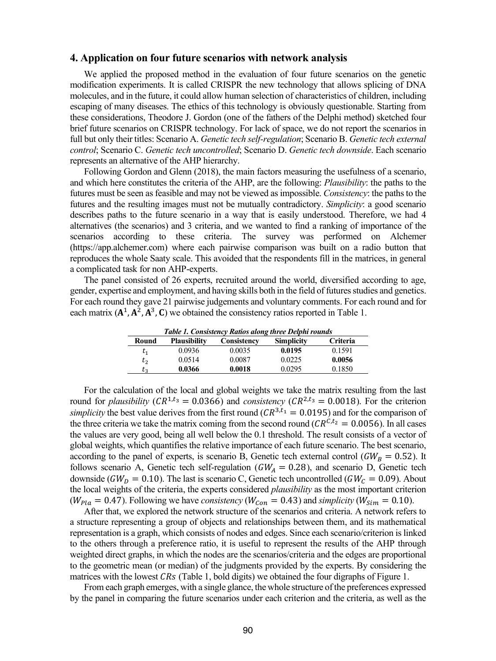#### **4. Application on four future scenarios with network analysis**

We applied the proposed method in the evaluation of four future scenarios on the genetic modification experiments. It is called CRISPR the new technology that allows splicing of DNA molecules, and in the future, it could allow human selection of characteristics of children, including escaping of many diseases. The ethics of this technology is obviously questionable. Starting from these considerations, Theodore J. Gordon (one of the fathers of the Delphi method) sketched four brief future scenarios on CRISPR technology. For lack of space, we do not report the scenarios in full but only their titles: Scenario A. *Genetic tech self-regulation*; Scenario B. *Genetic tech external control*; Scenario C. *Genetic tech uncontrolled*; Scenario D. *Genetic tech downside*. Each scenario represents an alternative of the AHP hierarchy.

Following Gordon and Glenn (2018), the main factors measuring the usefulness of a scenario, and which here constitutes the criteria of the AHP, are the following: *Plausibility*: the paths to the futures must be seen as feasible and may not be viewed as impossible. *Consistency*: the paths to the futures and the resulting images must not be mutually contradictory. *Simplicity*: a good scenario describes paths to the future scenario in a way that is easily understood. Therefore, we had 4 alternatives (the scenarios) and 3 criteria, and we wanted to find a ranking of importance of the scenarios according to these criteria. The survey was performed on Alchemer (https://app.alchemer.com) where each pairwise comparison was built on a radio button that reproduces the whole Saaty scale. This avoided that the respondents fill in the matrices, in general a complicated task for non AHP-experts.

The panel consisted of 26 experts, recruited around the world, diversified according to age, gender, expertise and employment, and having skills both in the field of futures studies and genetics. For each round they gave 21 pairwise judgements and voluntary comments. For each round and for each matrix  $(A^1, A^2, A^3, C)$  we obtained the consistency ratios reported in Table 1.

| Table 1. Consistency Ratios along three Delphi rounds |  |  |  |  |  |
|-------------------------------------------------------|--|--|--|--|--|
| Criteria                                              |  |  |  |  |  |
| 0.1591                                                |  |  |  |  |  |
| 0.0056                                                |  |  |  |  |  |
| 0.1850                                                |  |  |  |  |  |
|                                                       |  |  |  |  |  |

For the calculation of the local and global weights we take the matrix resulting from the last round for *plausibility* ( $CR^{1,t_3} = 0.0366$ ) and *consistency* ( $CR^{2,t_3} = 0.0018$ ). For the criterion *simplicity* the best value derives from the first round ( $CR^{3,t_1} = 0.0195$ ) and for the comparison of the three criteria we take the matrix coming from the second round ( $CR^{C,t_2} = 0.0056$ ). In all cases the values are very good, being all well below the 0.1 threshold. The result consists of a vector of global weights, which quantifies the relative importance of each future scenario. The best scenario, according to the panel of experts, is scenario B, Genetic tech external control ( $GW_B = 0.52$ ). It follows scenario A, Genetic tech self-regulation ( $GW_A = 0.28$ ), and scenario D, Genetic tech downside ( $GW_D = 0.10$ ). The last is scenario C, Genetic tech uncontrolled ( $GW_C = 0.09$ ). About the local weights of the criteria, the experts considered *plausibility* as the most important criterion  $(W_{P1a} = 0.47)$ . Following we have *consistency* ( $W_{Con} = 0.43$ ) and *simplicity* ( $W_{Sim} = 0.10$ ).

After that, we explored the network structure of the scenarios and criteria. A network refers to a structure representing a group of objects and relationships between them, and its mathematical representation is a graph, which consists of nodes and edges. Since each scenario/criterion is linked to the others through a preference ratio, it is useful to represent the results of the AHP through weighted direct graphs, in which the nodes are the scenarios/criteria and the edges are proportional to the geometric mean (or median) of the judgments provided by the experts. By considering the matrices with the lowest  $CRs$  (Table 1, bold digits) we obtained the four digraphs of Figure 1.

From each graph emerges, with a single glance, the whole structure of the preferences expressed by the panel in comparing the future scenarios under each criterion and the criteria, as well as the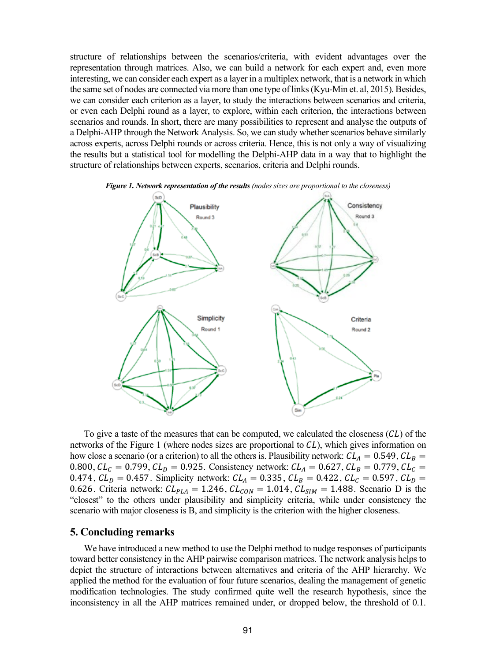structure of relationships between the scenarios/criteria, with evident advantages over the representation through matrices. Also, we can build a network for each expert and, even more interesting, we can consider each expert as a layer in a multiplex network, that is a network in which the same set of nodes are connected via more than one type of links (Kyu-Min et. al, 2015). Besides, we can consider each criterion as a layer, to study the interactions between scenarios and criteria, or even each Delphi round as a layer, to explore, within each criterion, the interactions between scenarios and rounds. In short, there are many possibilities to represent and analyse the outputs of a Delphi-AHP through the Network Analysis. So, we can study whether scenarios behave similarly across experts, across Delphi rounds or across criteria. Hence, this is not only a way of visualizing the results but a statistical tool for modelling the Delphi-AHP data in a way that to highlight the structure of relationships between experts, scenarios, criteria and Delphi rounds.



*Figure 1. Network representation of the results (nodes sizes are proportional to the closeness)*

To give a taste of the measures that can be computed, we calculated the closeness  $(CL)$  of the networks of the Figure 1 (where nodes sizes are proportional to  $CL$ ), which gives information on how close a scenario (or a criterion) to all the others is. Plausibility network:  $CL_A = 0.549$ ,  $CL_B =$ 0.800,  $CL_C = 0.799$ ,  $CL_D = 0.925$ . Consistency network:  $CL_A = 0.627$ ,  $CL_B = 0.779$ ,  $CL_C =$ 0.474,  $CL<sub>D</sub> = 0.457$ . Simplicity network:  $CL<sub>A</sub> = 0.335$ ,  $CL<sub>B</sub> = 0.422$ ,  $CL<sub>C</sub> = 0.597$ ,  $CL<sub>D</sub> =$ 0.626. Criteria network:  $CL_{PLA} = 1.246$ ,  $CL_{CON} = 1.014$ ,  $CL_{SIM} = 1.488$ . Scenario D is the "closest" to the others under plausibility and simplicity criteria, while under consistency the scenario with major closeness is B, and simplicity is the criterion with the higher closeness.

### **5. Concluding remarks**

We have introduced a new method to use the Delphi method to nudge responses of participants toward better consistency in the AHP pairwise comparison matrices. The network analysis helps to depict the structure of interactions between alternatives and criteria of the AHP hierarchy. We applied the method for the evaluation of four future scenarios, dealing the management of genetic modification technologies. The study confirmed quite well the research hypothesis, since the inconsistency in all the AHP matrices remained under, or dropped below, the threshold of 0.1.